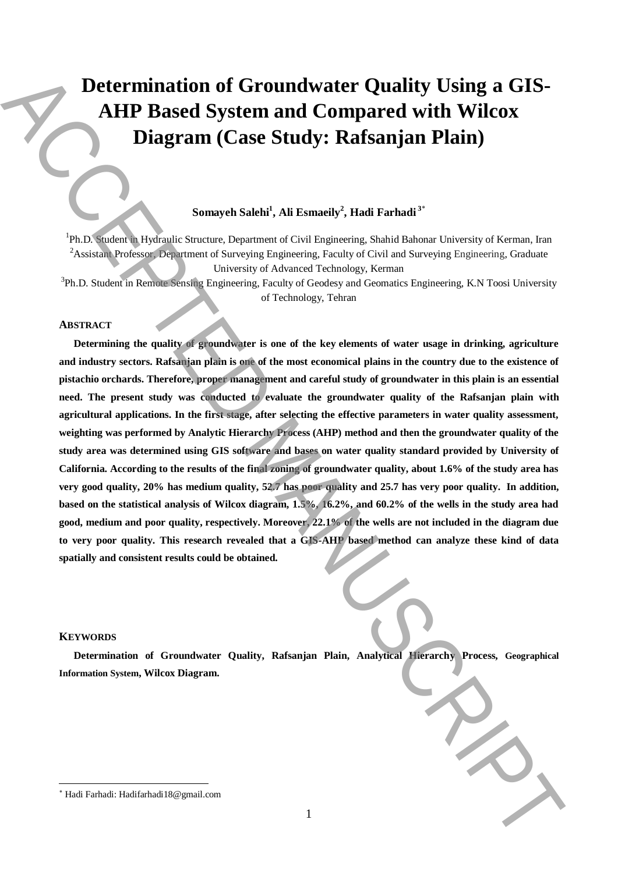# **Determination of Groundwater Quality Using a GIS-AHP Based System and Compared with Wilcox Diagram (Case Study: Rafsanjan Plain)**

# **Somayeh Salehi<sup>1</sup> , Ali Esmaeily<sup>2</sup> , Hadi Farhadi <sup>3</sup>**\*

<sup>1</sup>Ph.D. Student in Hydraulic Structure, Department of Civil Engineering, Shahid Bahonar University of Kerman, Iran <sup>2</sup>Assistant Professor, Department of Surveying Engineering, Faculty of Civil and Surveying Engineering, Graduate University of Advanced Technology, Kerman

<sup>3</sup>Ph.D. Student in Remote Sensing Engineering, Faculty of Geodesy and Geomatics Engineering, K.N Toosi University of Technology, Tehran

#### **ABSTRACT**

**Determining the quality of groundwater is one of the key elements of water usage in drinking, agriculture and industry sectors. Rafsanjan plain is one of the most economical plains in the country due to the existence of pistachio orchards. Therefore, proper management and careful study of groundwater in this plain is an essential need. The present study was conducted to evaluate the groundwater quality of the Rafsanjan plain with agricultural applications. In the first stage, after selecting the effective parameters in water quality assessment, weighting was performed by Analytic Hierarchy Process (AHP) method and then the groundwater quality of the study area was determined using GIS software and bases on water quality standard provided by University of California. According to the results of the final zoning of groundwater quality, about 1.6% of the study area has very good quality, 20% has medium quality, 52.7 has poor quality and 25.7 has very poor quality. In addition, based on the statistical analysis of Wilcox diagram, 1.5%, 16.2%, and 60.2% of the wells in the study area had good, medium and poor quality, respectively. Moreover, 22.1% of the wells are not included in the diagram due to very poor quality. This research revealed that a GIS-AHP based method can analyze these kind of data spatially and consistent results could be obtained. Example 2018** The control of Ground water Quality Using a GIS-<br>**AHP** Based System and Compared with Wilcox<br>Diagram (Case Study: RafSanjan Plain)<br>
Sure in Research System of Convergence, Statistical statistical Galactic S

#### **KEYWORDS**

 $\overline{\phantom{a}}$ 

**Determination of Groundwater Quality, Rafsanjan Plain, Analytical Hierarchy Process, Geographical Information System, Wilcox Diagram.**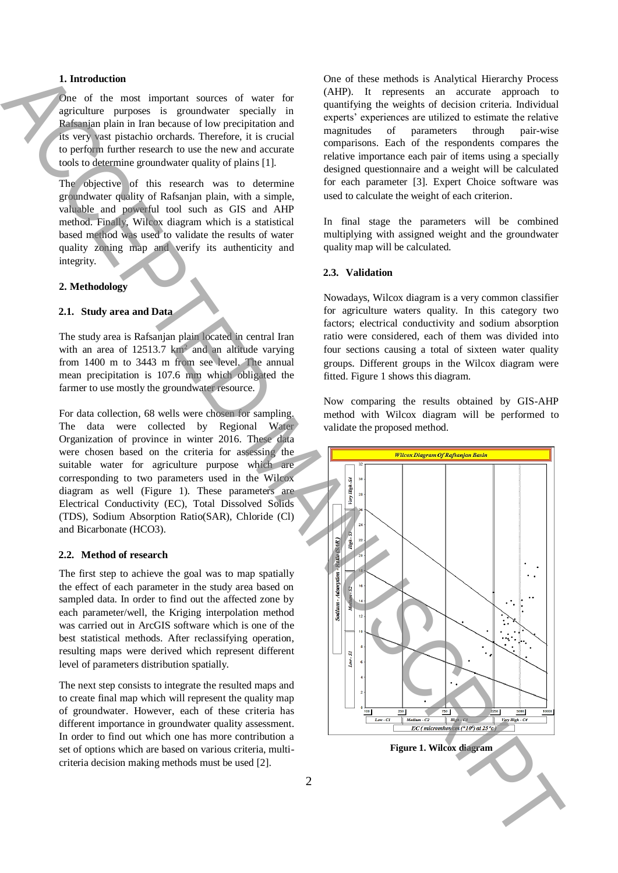### **1. Introduction**

One of the most important sources of water for agriculture purposes is groundwater specially in Rafsanjan plain in Iran because of low precipitation and its very vast pistachio orchards. Therefore, it is crucial to perform further research to use the new and accurate tools to determine groundwater quality of plains [1].

The objective of this research was to determine groundwater quality of Rafsanjan plain, with a simple, valuable and powerful tool such as GIS and AHP method. Finally, Wilcox diagram which is a statistical based method was used to validate the results of water quality zoning map and verify its authenticity and integrity.

#### **2. Methodology**

#### **2.1. Study area and Data**

The study area is Rafsanjan plain located in central Iran with an area of  $12513.7 \text{ km}^2$  and an altitude varying from 1400 m to 3443 m from see level. The annual mean precipitation is 107.6 mm which obligated the farmer to use mostly the groundwater resource.

For data collection, 68 wells were chosen for sampling. The data were collected by Regional Water Organization of province in winter 2016. These data were chosen based on the criteria for assessing the suitable water for agriculture purpose which are corresponding to two parameters used in the Wilcox diagram as well (Figure 1). These parameters are Electrical Conductivity (EC), Total Dissolved Solids (TDS), Sodium Absorption Ratio(SAR), Chloride (Cl) and Bicarbonate (HCO3).

#### **2.2. Method of research**

The first step to achieve the goal was to map spatially the effect of each parameter in the study area based on sampled data. In order to find out the affected zone by each parameter/well, the Kriging interpolation method was carried out in ArcGIS software which is one of the best statistical methods. After reclassifying operation, resulting maps were derived which represent different level of parameters distribution spatially.

The next step consists to integrate the resulted maps and to create final map which will represent the quality map of groundwater. However, each of these criteria has different importance in groundwater quality assessment. In order to find out which one has more contribution a set of options which are based on various criteria, multicriteria decision making methods must be used [2].

One of these methods is Analytical Hierarchy Process (AHP). It represents an accurate approach to quantifying the weights of decision criteria. Individual experts' experiences are utilized to estimate the relative magnitudes of parameters through pair-wise comparisons. Each of the respondents compares the relative importance each pair of items using a specially designed questionnaire and a weight will be calculated for each parameter [3]. Expert Choice software was used to calculate the weight of each criterion.

In final stage the parameters will be combined multiplying with assigned weight and the groundwater quality map will be calculated.

#### **2.3. Validation**

Nowadays, Wilcox diagram is a very common classifier for agriculture waters quality. In this category two factors; electrical conductivity and sodium absorption ratio were considered, each of them was divided into four sections causing a total of sixteen water quality groups. Different groups in the Wilcox diagram were fitted. Figure 1 shows this diagram.

Now comparing the results obtained by GIS-AHP method with Wilcox diagram will be performed to validate the proposed method.